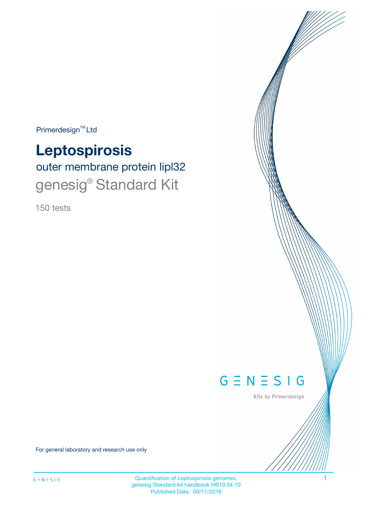Primerdesign<sup>™</sup>Ltd

# **Leptospirosis**

outer membrane protein lipl32 genesig® Standard Kit

150 tests



Kits by Primerdesign

For general laboratory and research use only

Quantification of Leptospirosis genomes. 1 genesig Standard kit handbook HB10.04.10 Published Date: 09/11/2018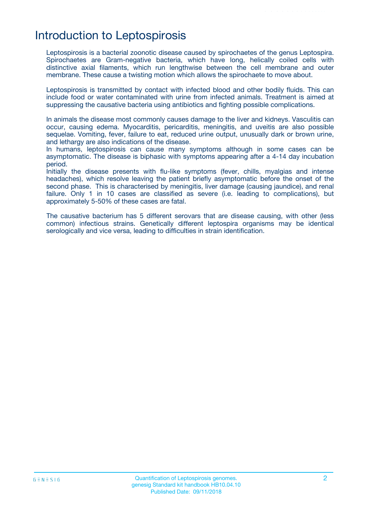# Introduction to Leptospirosis

Leptospirosis is a bacterial zoonotic disease caused by spirochaetes of the genus Leptospira. Spirochaetes are Gram-negative bacteria, which have long, helically coiled cells with distinctive axial filaments, which run lengthwise between the cell membrane and outer membrane. These cause a twisting motion which allows the spirochaete to move about.

Leptospirosis is transmitted by contact with infected blood and other bodily fluids. This can include food or water contaminated with urine from infected animals. Treatment is aimed at suppressing the causative bacteria using antibiotics and fighting possible complications.

In animals the disease most commonly causes damage to the liver and kidneys. Vasculitis can occur, causing edema. Myocarditis, pericarditis, meningitis, and uveitis are also possible sequelae. Vomiting, fever, failure to eat, reduced urine output, unusually dark or brown urine, and lethargy are also indications of the disease.

In humans, leptospirosis can cause many symptoms although in some cases can be asymptomatic. The disease is biphasic with symptoms appearing after a 4-14 day incubation period.

Initially the disease presents with flu-like symptoms (fever, chills, myalgias and intense headaches), which resolve leaving the patient briefly asymptomatic before the onset of the second phase. This is characterised by meningitis, liver damage (causing jaundice), and renal failure. Only 1 in 10 cases are classified as severe (i.e. leading to complications), but approximately 5-50% of these cases are fatal.

The causative bacterium has 5 different serovars that are disease causing, with other (less common) infectious strains. Genetically different leptospira organisms may be identical serologically and vice versa, leading to difficulties in strain identification.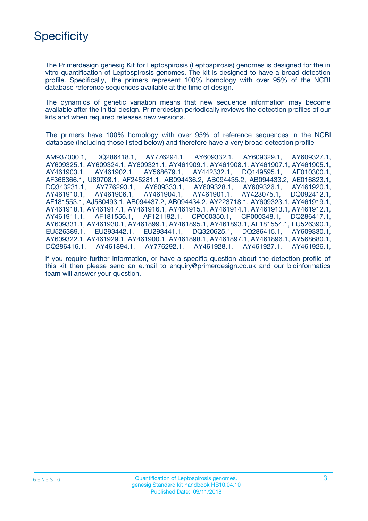# **Specificity**

The Primerdesign genesig Kit for Leptospirosis (Leptospirosis) genomes is designed for the in vitro quantification of Leptospirosis genomes. The kit is designed to have a broad detection profile. Specifically, the primers represent 100% homology with over 95% of the NCBI database reference sequences available at the time of design.

The dynamics of genetic variation means that new sequence information may become available after the initial design. Primerdesign periodically reviews the detection profiles of our kits and when required releases new versions.

The primers have 100% homology with over 95% of reference sequences in the NCBI database (including those listed below) and therefore have a very broad detection profile

AM937000.1, DQ286418.1, AY776294.1, AY609332.1, AY609329.1, AY609327.1, AY609325.1, AY609324.1, AY609321.1, AY461909.1, AY461908.1, AY461907.1, AY461905.1, AY461903.1, AY461902.1, AY568679.1, AY442332.1, DQ149595.1, AE010300.1, AF366366.1, U89708.1, AF245281.1, AB094436.2, AB094435.2, AB094433.2, AE016823.1, DQ343231.1, AY776293.1, AY609333.1, AY609328.1, AY609326.1, AY461920.1, AY461910.1, AY461906.1, AY461904.1, AY461901.1, AY423075.1, DQ092412.1, AF181553.1, AJ580493.1, AB094437.2, AB094434.2, AY223718.1, AY609323.1, AY461919.1, AY461918.1, AY461917.1, AY461916.1, AY461915.1, AY461914.1, AY461913.1, AY461912.1, AY461911.1, AF181556.1, AF121192.1, CP000350.1, CP000348.1, DQ286417.1, AY609331.1, AY461930.1, AY461899.1, AY461895.1, AY461893.1, AF181554.1, EU526390.1, EU526389.1, EU293442.1, EU293441.1, DQ320625.1, DQ286415.1, AY609330.1, AY609322.1, AY461929.1, AY461900.1, AY461898.1, AY461897.1, AY461896.1, AY568680.1, DQ286416.1, AY461894.1, AY776292.1, AY461928.1, AY461927.1, AY461926.1,

If you require further information, or have a specific question about the detection profile of this kit then please send an e.mail to enquiry@primerdesign.co.uk and our bioinformatics team will answer your question.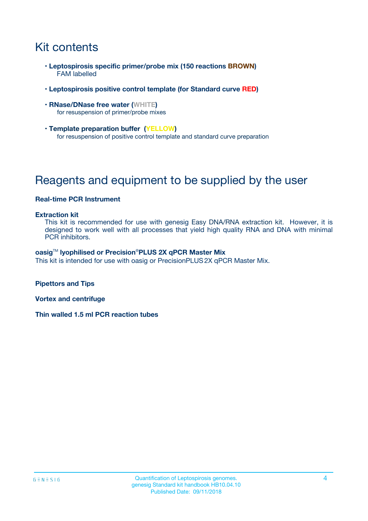# Kit contents

- **Leptospirosis specific primer/probe mix (150 reactions BROWN)** FAM labelled
- **Leptospirosis positive control template (for Standard curve RED)**
- **RNase/DNase free water (WHITE)** for resuspension of primer/probe mixes
- **Template preparation buffer (YELLOW)** for resuspension of positive control template and standard curve preparation

# Reagents and equipment to be supplied by the user

#### **Real-time PCR Instrument**

#### **Extraction kit**

This kit is recommended for use with genesig Easy DNA/RNA extraction kit. However, it is designed to work well with all processes that yield high quality RNA and DNA with minimal PCR inhibitors.

#### **oasig**TM **lyophilised or Precision**®**PLUS 2X qPCR Master Mix**

This kit is intended for use with oasig or PrecisionPLUS2X qPCR Master Mix.

**Pipettors and Tips**

**Vortex and centrifuge**

**Thin walled 1.5 ml PCR reaction tubes**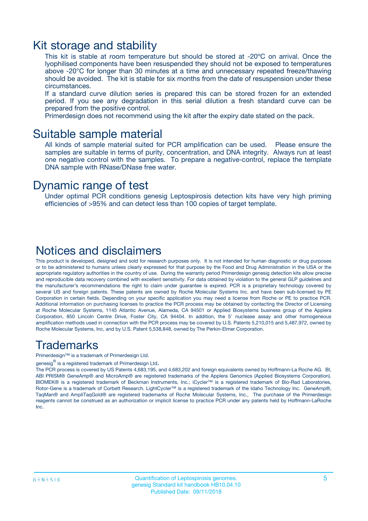### Kit storage and stability

This kit is stable at room temperature but should be stored at -20ºC on arrival. Once the lyophilised components have been resuspended they should not be exposed to temperatures above -20°C for longer than 30 minutes at a time and unnecessary repeated freeze/thawing should be avoided. The kit is stable for six months from the date of resuspension under these circumstances.

If a standard curve dilution series is prepared this can be stored frozen for an extended period. If you see any degradation in this serial dilution a fresh standard curve can be prepared from the positive control.

Primerdesign does not recommend using the kit after the expiry date stated on the pack.

### Suitable sample material

All kinds of sample material suited for PCR amplification can be used. Please ensure the samples are suitable in terms of purity, concentration, and DNA integrity. Always run at least one negative control with the samples. To prepare a negative-control, replace the template DNA sample with RNase/DNase free water.

### Dynamic range of test

Under optimal PCR conditions genesig Leptospirosis detection kits have very high priming efficiencies of >95% and can detect less than 100 copies of target template.

### Notices and disclaimers

This product is developed, designed and sold for research purposes only. It is not intended for human diagnostic or drug purposes or to be administered to humans unless clearly expressed for that purpose by the Food and Drug Administration in the USA or the appropriate regulatory authorities in the country of use. During the warranty period Primerdesign genesig detection kits allow precise and reproducible data recovery combined with excellent sensitivity. For data obtained by violation to the general GLP guidelines and the manufacturer's recommendations the right to claim under guarantee is expired. PCR is a proprietary technology covered by several US and foreign patents. These patents are owned by Roche Molecular Systems Inc. and have been sub-licensed by PE Corporation in certain fields. Depending on your specific application you may need a license from Roche or PE to practice PCR. Additional information on purchasing licenses to practice the PCR process may be obtained by contacting the Director of Licensing at Roche Molecular Systems, 1145 Atlantic Avenue, Alameda, CA 94501 or Applied Biosystems business group of the Applera Corporation, 850 Lincoln Centre Drive, Foster City, CA 94404. In addition, the 5' nuclease assay and other homogeneous amplification methods used in connection with the PCR process may be covered by U.S. Patents 5,210,015 and 5,487,972, owned by Roche Molecular Systems, Inc, and by U.S. Patent 5,538,848, owned by The Perkin-Elmer Corporation.

### Trademarks

Primerdesign™ is a trademark of Primerdesign Ltd.

genesig $^\circledR$  is a registered trademark of Primerdesign Ltd.

The PCR process is covered by US Patents 4,683,195, and 4,683,202 and foreign equivalents owned by Hoffmann-La Roche AG. BI, ABI PRISM® GeneAmp® and MicroAmp® are registered trademarks of the Applera Genomics (Applied Biosystems Corporation). BIOMEK® is a registered trademark of Beckman Instruments, Inc.; iCycler™ is a registered trademark of Bio-Rad Laboratories, Rotor-Gene is a trademark of Corbett Research. LightCycler™ is a registered trademark of the Idaho Technology Inc. GeneAmp®, TaqMan® and AmpliTaqGold® are registered trademarks of Roche Molecular Systems, Inc., The purchase of the Primerdesign reagents cannot be construed as an authorization or implicit license to practice PCR under any patents held by Hoffmann-LaRoche Inc.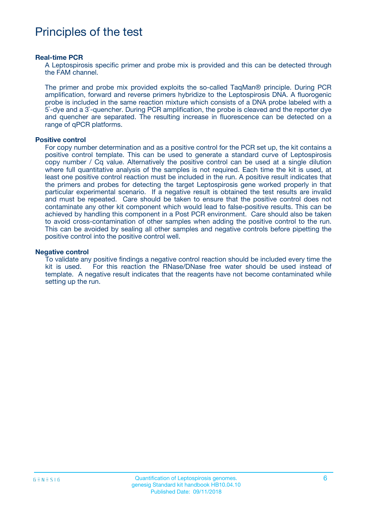### Principles of the test

#### **Real-time PCR**

A Leptospirosis specific primer and probe mix is provided and this can be detected through the FAM channel.

The primer and probe mix provided exploits the so-called TaqMan® principle. During PCR amplification, forward and reverse primers hybridize to the Leptospirosis DNA. A fluorogenic probe is included in the same reaction mixture which consists of a DNA probe labeled with a 5`-dye and a 3`-quencher. During PCR amplification, the probe is cleaved and the reporter dye and quencher are separated. The resulting increase in fluorescence can be detected on a range of qPCR platforms.

#### **Positive control**

For copy number determination and as a positive control for the PCR set up, the kit contains a positive control template. This can be used to generate a standard curve of Leptospirosis copy number / Cq value. Alternatively the positive control can be used at a single dilution where full quantitative analysis of the samples is not required. Each time the kit is used, at least one positive control reaction must be included in the run. A positive result indicates that the primers and probes for detecting the target Leptospirosis gene worked properly in that particular experimental scenario. If a negative result is obtained the test results are invalid and must be repeated. Care should be taken to ensure that the positive control does not contaminate any other kit component which would lead to false-positive results. This can be achieved by handling this component in a Post PCR environment. Care should also be taken to avoid cross-contamination of other samples when adding the positive control to the run. This can be avoided by sealing all other samples and negative controls before pipetting the positive control into the positive control well.

#### **Negative control**

To validate any positive findings a negative control reaction should be included every time the kit is used. For this reaction the RNase/DNase free water should be used instead of template. A negative result indicates that the reagents have not become contaminated while setting up the run.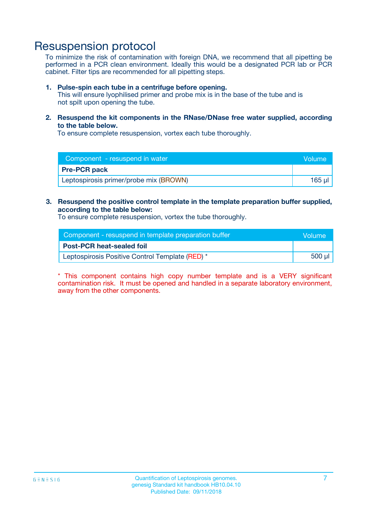### Resuspension protocol

To minimize the risk of contamination with foreign DNA, we recommend that all pipetting be performed in a PCR clean environment. Ideally this would be a designated PCR lab or PCR cabinet. Filter tips are recommended for all pipetting steps.

#### **1. Pulse-spin each tube in a centrifuge before opening.**

This will ensure lyophilised primer and probe mix is in the base of the tube and is not spilt upon opening the tube.

**2. Resuspend the kit components in the RNase/DNase free water supplied, according to the table below.**

To ensure complete resuspension, vortex each tube thoroughly.

| Component - resuspend in water         | Volume |
|----------------------------------------|--------|
| <b>Pre-PCR pack</b>                    |        |
| Leptospirosis primer/probe mix (BROWN) | 165 ul |

#### **3. Resuspend the positive control template in the template preparation buffer supplied, according to the table below:**

To ensure complete resuspension, vortex the tube thoroughly.

| Component - resuspend in template preparation buffer | Wolume'  |
|------------------------------------------------------|----------|
| <b>Post-PCR heat-sealed foil</b>                     |          |
| Leptospirosis Positive Control Template (RED) *      | 500 µl l |

\* This component contains high copy number template and is a VERY significant contamination risk. It must be opened and handled in a separate laboratory environment, away from the other components.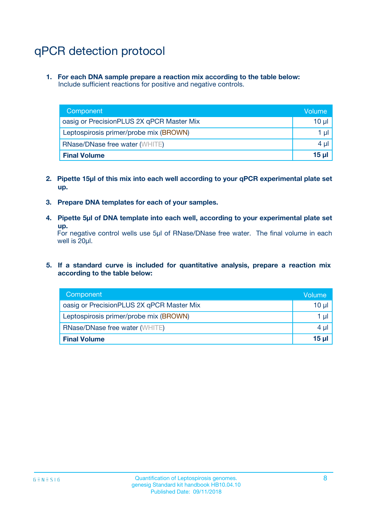# qPCR detection protocol

**1. For each DNA sample prepare a reaction mix according to the table below:** Include sufficient reactions for positive and negative controls.

| Component                                 | Volume           |
|-------------------------------------------|------------------|
| oasig or PrecisionPLUS 2X qPCR Master Mix | 10 $\mu$         |
| Leptospirosis primer/probe mix (BROWN)    | 1 $\mu$          |
| <b>RNase/DNase free water (WHITE)</b>     | $4 \mu$          |
| <b>Final Volume</b>                       | 15 <sub>ul</sub> |

- **2. Pipette 15µl of this mix into each well according to your qPCR experimental plate set up.**
- **3. Prepare DNA templates for each of your samples.**
- **4. Pipette 5µl of DNA template into each well, according to your experimental plate set up.**

For negative control wells use 5µl of RNase/DNase free water. The final volume in each well is 20µl.

**5. If a standard curve is included for quantitative analysis, prepare a reaction mix according to the table below:**

| Component                                 | Volume     |
|-------------------------------------------|------------|
| oasig or PrecisionPLUS 2X qPCR Master Mix | 10 µl      |
| Leptospirosis primer/probe mix (BROWN)    | 1 µI       |
| <b>RNase/DNase free water (WHITE)</b>     | $4 \mu$    |
| <b>Final Volume</b>                       | $15$ $\mu$ |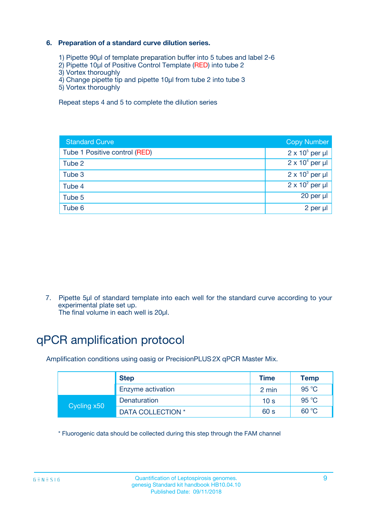### **6. Preparation of a standard curve dilution series.**

- 1) Pipette 90µl of template preparation buffer into 5 tubes and label 2-6
- 2) Pipette 10µl of Positive Control Template (RED) into tube 2
- 3) Vortex thoroughly
- 4) Change pipette tip and pipette 10µl from tube 2 into tube 3
- 5) Vortex thoroughly

Repeat steps 4 and 5 to complete the dilution series

| <b>Standard Curve</b>         | <b>Copy Number</b>     |
|-------------------------------|------------------------|
| Tube 1 Positive control (RED) | $2 \times 10^5$ per µl |
| Tube 2                        | $2 \times 10^4$ per µl |
| Tube 3                        | $2 \times 10^3$ per µl |
| Tube 4                        | $2 \times 10^2$ per µl |
| Tube 5                        | 20 per µl              |
| Tube 6                        | 2 per ul               |

7. Pipette 5µl of standard template into each well for the standard curve according to your experimental plate set up.

The final volume in each well is 20µl.

# qPCR amplification protocol

Amplification conditions using oasig or PrecisionPLUS2X qPCR Master Mix.

|             | <b>Step</b>       | <b>Time</b>     | Temp    |
|-------------|-------------------|-----------------|---------|
|             | Enzyme activation | 2 min           | 95 °C   |
| Cycling x50 | Denaturation      | 10 <sub>s</sub> | 95 $°C$ |
|             | DATA COLLECTION * | 60 s            | 60 °C   |

\* Fluorogenic data should be collected during this step through the FAM channel